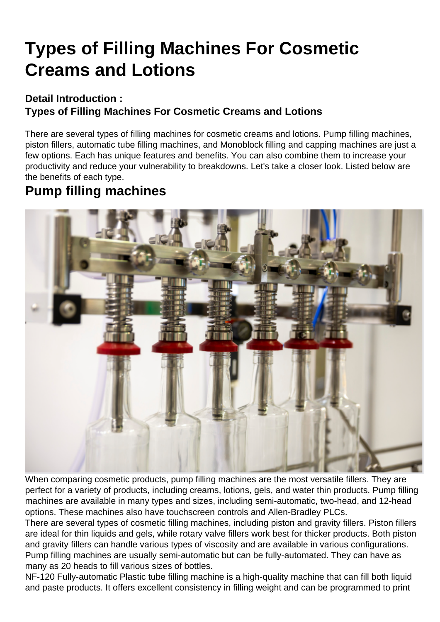# [Types of Filling Machines For Cosmetic](https://hanyipack.com/types-of-filling-machines-for-cosmetic-creams-and-lotions/) Creams and Lotions

Detail Introduction : Types of Filling Machines For Cosmetic Creams and Lotions

There are several types of filling machines for cosmetic creams and lotions. Pump filling machines, piston fillers, automatic tube filling machines, and Monoblock filling and capping machines are just a few options. Each has unique features and benefits. You can also combine them to increase your productivity and reduce your vulnerability to breakdowns. Let's take a closer look. Listed below are the benefits of each type.

#### Pump filling machines

When comparing cosmetic products, pump filling machines are the most versatile fillers. They are perfect for a variety of products, including creams, lotions, gels, and water thin products. Pump filling machines are available in many types and sizes, including semi-automatic, two-head, and 12-head options. These machines also have touchscreen controls and Allen-Bradley PLCs.

There are several types of cosmetic filling machines, including piston and gravity fillers. Piston fillers are ideal for thin liquids and gels, while rotary valve fillers work best for thicker products. Both piston and gravity fillers can handle various types of viscosity and are available in various configurations. Pump filling machines are usually semi-automatic but can be fully-automated. They can have as many as 20 heads to fill various sizes of bottles.

NF-120 Fully-automatic Plastic tube filling machine is a high-quality machine that can fill both liquid and paste products. It offers excellent consistency in filling weight and can be programmed to print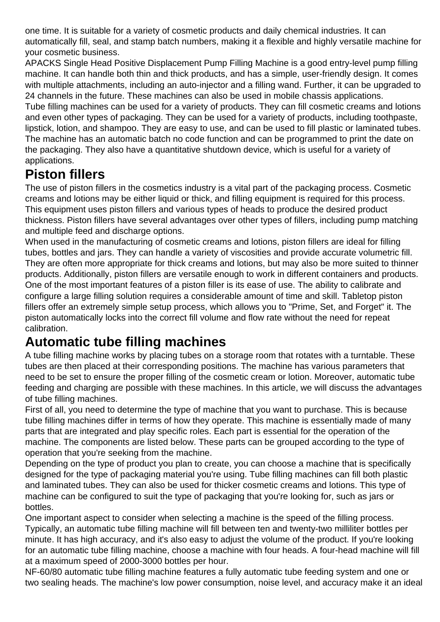one time. It is suitable for a variety of cosmetic products and daily chemical industries. It can automatically fill, seal, and stamp batch numbers, making it a flexible and highly versatile machine for your cosmetic business.

APACKS Single Head Positive Displacement Pump Filling Machine is a good entry-level pump filling machine. It can handle both thin and thick products, and has a simple, user-friendly design. It comes with multiple attachments, including an auto-injector and a filling wand. Further, it can be upgraded to 24 channels in the future. These machines can also be used in mobile chassis applications.

Tube filling machines can be used for a variety of products. They can fill cosmetic creams and lotions and even other types of packaging. They can be used for a variety of products, including toothpaste, lipstick, lotion, and shampoo. They are easy to use, and can be used to fill plastic or laminated tubes. The machine has an automatic batch no code function and can be programmed to print the date on the packaging. They also have a quantitative shutdown device, which is useful for a variety of applications.

### **Piston fillers**

The use of piston fillers in the cosmetics industry is a vital part of the packaging process. Cosmetic creams and lotions may be either liquid or thick, and filling equipment is required for this process. This equipment uses piston fillers and various types of heads to produce the desired product thickness. Piston fillers have several advantages over other types of fillers, including pump matching and multiple feed and discharge options.

When used in the manufacturing of cosmetic creams and lotions, piston fillers are ideal for filling tubes, bottles and jars. They can handle a variety of viscosities and provide accurate volumetric fill. They are often more appropriate for thick creams and lotions, but may also be more suited to thinner products. Additionally, piston fillers are versatile enough to work in different containers and products. One of the most important features of a piston filler is its ease of use. The ability to calibrate and configure a large filling solution requires a considerable amount of time and skill. Tabletop piston fillers offer an extremely simple setup process, which allows you to "Prime, Set, and Forget" it. The piston automatically locks into the correct fill volume and flow rate without the need for repeat calibration.

## **Automatic tube filling machines**

A tube filling machine works by placing tubes on a storage room that rotates with a turntable. These tubes are then placed at their corresponding positions. The machine has various parameters that need to be set to ensure the proper filling of the cosmetic cream or lotion. Moreover, automatic tube feeding and charging are possible with these machines. In this article, we will discuss the advantages of tube filling machines.

First of all, you need to determine the type of machine that you want to purchase. This is because tube filling machines differ in terms of how they operate. This machine is essentially made of many parts that are integrated and play specific roles. Each part is essential for the operation of the machine. The components are listed below. These parts can be grouped according to the type of operation that you're seeking from the machine.

Depending on the type of product you plan to create, you can choose a machine that is specifically designed for the type of packaging material you're using. Tube filling machines can fill both plastic and laminated tubes. They can also be used for thicker cosmetic creams and lotions. This type of machine can be configured to suit the type of packaging that you're looking for, such as jars or bottles.

One important aspect to consider when selecting a machine is the speed of the filling process. Typically, an automatic tube filling machine will fill between ten and twenty-two milliliter bottles per minute. It has high accuracy, and it's also easy to adjust the volume of the product. If you're looking for an automatic tube filling machine, choose a machine with four heads. A four-head machine will fill at a maximum speed of 2000-3000 bottles per hour.

NF-60/80 automatic tube filling machine features a fully automatic tube feeding system and one or two sealing heads. The machine's low power consumption, noise level, and accuracy make it an ideal